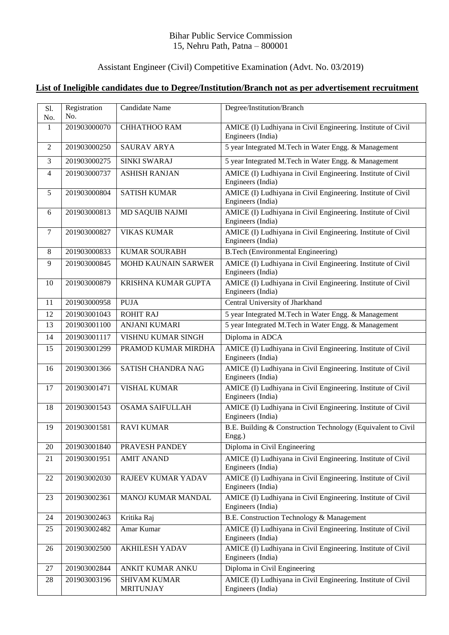## Bihar Public Service Commission 15, Nehru Path, Patna – 800001

## Assistant Engineer (Civil) Competitive Examination (Advt. No. 03/2019)

## **List of Ineligible candidates due to Degree/Institution/Branch not as per advertisement recruitment**

| S1.<br>No.     | Registration<br>No. | Candidate Name                          | Degree/Institution/Branch                                                         |
|----------------|---------------------|-----------------------------------------|-----------------------------------------------------------------------------------|
| 1              | 201903000070        | <b>CHHATHOO RAM</b>                     | AMICE (I) Ludhiyana in Civil Engineering. Institute of Civil<br>Engineers (India) |
| 2              | 201903000250        | <b>SAURAV ARYA</b>                      | 5 year Integrated M.Tech in Water Engg. & Management                              |
| $\overline{3}$ | 201903000275        | SINKI SWARAJ                            | 5 year Integrated M.Tech in Water Engg. & Management                              |
| $\overline{4}$ | 201903000737        | <b>ASHISH RANJAN</b>                    | AMICE (I) Ludhiyana in Civil Engineering. Institute of Civil<br>Engineers (India) |
| 5              | 201903000804        | <b>SATISH KUMAR</b>                     | AMICE (I) Ludhiyana in Civil Engineering. Institute of Civil<br>Engineers (India) |
| 6              | 201903000813        | <b>MD SAQUIB NAJMI</b>                  | AMICE (I) Ludhiyana in Civil Engineering. Institute of Civil<br>Engineers (India) |
| $\tau$         | 201903000827        | <b>VIKAS KUMAR</b>                      | AMICE (I) Ludhiyana in Civil Engineering. Institute of Civil<br>Engineers (India) |
| 8              | 201903000833        | <b>KUMAR SOURABH</b>                    | <b>B.Tech (Environmental Engineering)</b>                                         |
| 9              | 201903000845        | <b>MOHD KAUNAIN SARWER</b>              | AMICE (I) Ludhiyana in Civil Engineering. Institute of Civil<br>Engineers (India) |
| 10             | 201903000879        | KRISHNA KUMAR GUPTA                     | AMICE (I) Ludhiyana in Civil Engineering. Institute of Civil<br>Engineers (India) |
| 11             | 201903000958        | <b>PUJA</b>                             | Central University of Jharkhand                                                   |
| 12             | 201903001043        | <b>ROHIT RAJ</b>                        | 5 year Integrated M.Tech in Water Engg. & Management                              |
| 13             | 201903001100        | <b>ANJANI KUMARI</b>                    | 5 year Integrated M.Tech in Water Engg. & Management                              |
| 14             | 201903001117        | VISHNU KUMAR SINGH                      | Diploma in ADCA                                                                   |
| 15             | 201903001299        | PRAMOD KUMAR MIRDHA                     | AMICE (I) Ludhiyana in Civil Engineering. Institute of Civil<br>Engineers (India) |
| 16             | 201903001366        | SATISH CHANDRA NAG                      | AMICE (I) Ludhiyana in Civil Engineering. Institute of Civil<br>Engineers (India) |
| 17             | 201903001471        | <b>VISHAL KUMAR</b>                     | AMICE (I) Ludhiyana in Civil Engineering. Institute of Civil<br>Engineers (India) |
| 18             | 201903001543        | <b>OSAMA SAIFULLAH</b>                  | AMICE (I) Ludhiyana in Civil Engineering. Institute of Civil<br>Engineers (India) |
| 19             | 201903001581        | <b>RAVI KUMAR</b>                       | B.E. Building & Construction Technology (Equivalent to Civil<br>Engg.)            |
| 20             | 201903001840        | PRAVESH PANDEY                          | Diploma in Civil Engineering                                                      |
| 21             | 201903001951        | <b>AMIT ANAND</b>                       | AMICE (I) Ludhiyana in Civil Engineering. Institute of Civil<br>Engineers (India) |
| 22             | 201903002030        | RAJEEV KUMAR YADAV                      | AMICE (I) Ludhiyana in Civil Engineering. Institute of Civil<br>Engineers (India) |
| 23             | 201903002361        | MANOJ KUMAR MANDAL                      | AMICE (I) Ludhiyana in Civil Engineering. Institute of Civil<br>Engineers (India) |
| 24             | 201903002463        | Kritika Raj                             | B.E. Construction Technology & Management                                         |
| 25             | 201903002482        | Amar Kumar                              | AMICE (I) Ludhiyana in Civil Engineering. Institute of Civil<br>Engineers (India) |
| 26             | 201903002500        | <b>AKHILESH YADAV</b>                   | AMICE (I) Ludhiyana in Civil Engineering. Institute of Civil<br>Engineers (India) |
| 27             | 201903002844        | ANKIT KUMAR ANKU                        | Diploma in Civil Engineering                                                      |
| 28             | 201903003196        | <b>SHIVAM KUMAR</b><br><b>MRITUNJAY</b> | AMICE (I) Ludhiyana in Civil Engineering. Institute of Civil<br>Engineers (India) |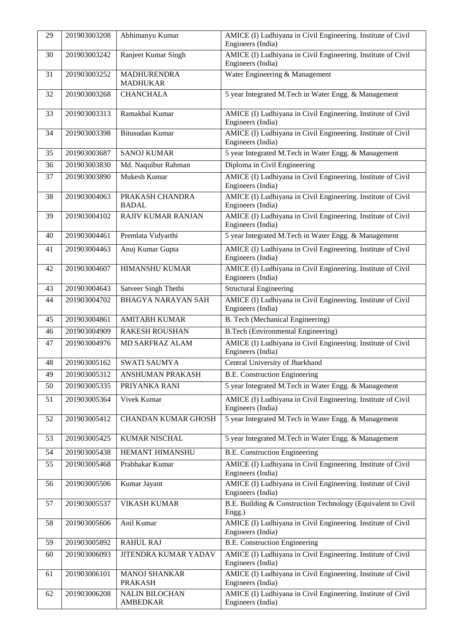| 29 | 201903003208 | Abhimanyu Kumar                          | AMICE (I) Ludhiyana in Civil Engineering. Institute of Civil<br>Engineers (India) |
|----|--------------|------------------------------------------|-----------------------------------------------------------------------------------|
| 30 | 201903003242 | Ranjeet Kumar Singh                      | AMICE (I) Ludhiyana in Civil Engineering. Institute of Civil<br>Engineers (India) |
| 31 | 201903003252 | <b>MADHURENDRA</b><br><b>MADHUKAR</b>    | Water Engineering & Management                                                    |
| 32 | 201903003268 | <b>CHANCHALA</b>                         | 5 year Integrated M.Tech in Water Engg. & Management                              |
| 33 | 201903003313 | Ramakbal Kumar                           | AMICE (I) Ludhiyana in Civil Engineering. Institute of Civil<br>Engineers (India) |
| 34 | 201903003398 | Bitusudan Kumar                          | AMICE (I) Ludhiyana in Civil Engineering. Institute of Civil<br>Engineers (India) |
| 35 | 201903003687 | <b>SANOJ KUMAR</b>                       | 5 year Integrated M.Tech in Water Engg. & Management                              |
| 36 | 201903003830 | Md. Naquibur Rahman                      | Diploma in Civil Engineering                                                      |
| 37 | 201903003890 | Mukesh Kumar                             | AMICE (I) Ludhiyana in Civil Engineering. Institute of Civil<br>Engineers (India) |
| 38 | 201903004063 | PRAKASH CHANDRA<br><b>BADAL</b>          | AMICE (I) Ludhiyana in Civil Engineering. Institute of Civil<br>Engineers (India) |
| 39 | 201903004102 | RAJIV KUMAR RANJAN                       | AMICE (I) Ludhiyana in Civil Engineering. Institute of Civil<br>Engineers (India) |
| 40 | 201903004461 | Premlata Vidyarthi                       | 5 year Integrated M.Tech in Water Engg. & Management                              |
| 41 | 201903004463 | Anuj Kumar Gupta                         | AMICE (I) Ludhiyana in Civil Engineering. Institute of Civil<br>Engineers (India) |
| 42 | 201903004607 | <b>HIMANSHU KUMAR</b>                    | AMICE (I) Ludhiyana in Civil Engineering. Institute of Civil<br>Engineers (India) |
| 43 | 201903004643 | Satveer Singh Thethi                     | <b>Structural Engineering</b>                                                     |
| 44 | 201903004702 | <b>BHAGYA NARAYAN SAH</b>                | AMICE (I) Ludhiyana in Civil Engineering. Institute of Civil<br>Engineers (India) |
| 45 | 201903004861 | <b>AMITABH KUMAR</b>                     | <b>B.</b> Tech (Mechanical Engineering)                                           |
| 46 | 201903004909 | <b>RAKESH ROUSHAN</b>                    | <b>B.Tech (Environmental Engineering)</b>                                         |
| 47 | 201903004976 | MD SARFRAZ ALAM                          | AMICE (I) Ludhiyana in Civil Engineering. Institute of Civil<br>Engineers (India) |
| 48 | 201903005162 | <b>SWATI SAUMYA</b>                      | Central University of Jharkhand                                                   |
| 49 | 201903005312 | <b>ANSHUMAN PRAKASH</b>                  | <b>B.E. Construction Engineering</b>                                              |
| 50 | 201903005335 | PRIYANKA RANI                            | 5 year Integrated M.Tech in Water Engg. & Management                              |
| 51 | 201903005364 | Vivek Kumar                              | AMICE (I) Ludhiyana in Civil Engineering. Institute of Civil<br>Engineers (India) |
| 52 | 201903005412 | <b>CHANDAN KUMAR GHOSH</b>               | 5 year Integrated M.Tech in Water Engg. & Management                              |
| 53 | 201903005425 | KUMAR NISCHAL                            | 5 year Integrated M.Tech in Water Engg. & Management                              |
| 54 | 201903005438 | <b>HEMANT HIMANSHU</b>                   | <b>B.E. Construction Engineering</b>                                              |
| 55 | 201903005468 | Prabhakar Kumar                          | AMICE (I) Ludhiyana in Civil Engineering. Institute of Civil<br>Engineers (India) |
| 56 | 201903005506 | Kumar Jayant                             | AMICE (I) Ludhiyana in Civil Engineering. Institute of Civil<br>Engineers (India) |
| 57 | 201903005537 | VIKASH KUMAR                             | B.E. Building & Construction Technology (Equivalent to Civil<br>Engg.)            |
| 58 | 201903005606 | Anil Kumar                               | AMICE (I) Ludhiyana in Civil Engineering. Institute of Civil<br>Engineers (India) |
| 59 | 201903005892 | <b>RAHUL RAJ</b>                         | <b>B.E. Construction Engineering</b>                                              |
| 60 | 201903006093 | JITENDRA KUMAR YADAV                     | AMICE (I) Ludhiyana in Civil Engineering. Institute of Civil<br>Engineers (India) |
| 61 | 201903006101 | <b>MANOJ SHANKAR</b><br><b>PRAKASH</b>   | AMICE (I) Ludhiyana in Civil Engineering. Institute of Civil<br>Engineers (India) |
| 62 | 201903006208 | <b>NALIN BILOCHAN</b><br><b>AMBEDKAR</b> | AMICE (I) Ludhiyana in Civil Engineering. Institute of Civil<br>Engineers (India) |